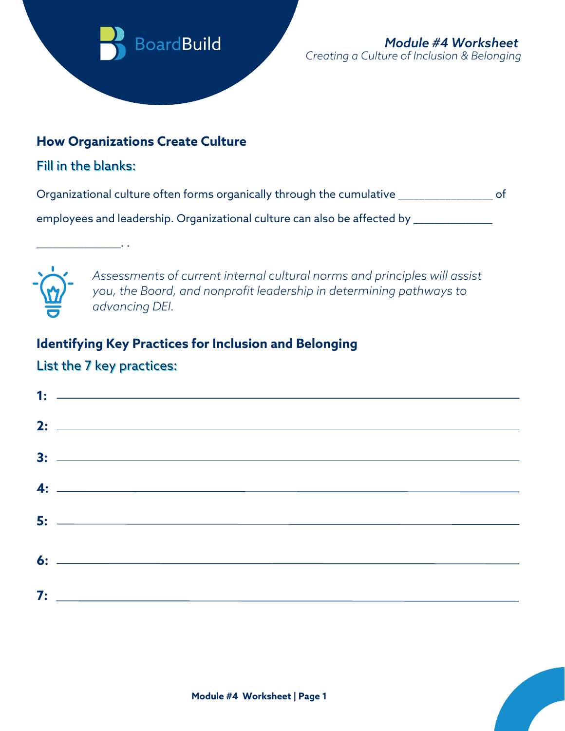

### **How Organizations Create Culture**

### Fill in the blanks:

\_\_\_\_\_\_\_\_\_\_\_\_\_\_\_\_. .

Organizational culture often forms organically through the cumulative \_\_\_\_\_\_\_\_\_\_\_\_\_\_\_\_\_\_ of

employees and leadership. Organizational culture can also be affected by \_\_\_\_\_\_\_\_\_\_\_\_



*Assessments of current internal cultural norms and principles will assist you, the Board, and nonprofit leadership in determining pathways to advancing DEI.*

# **Identifying Key Practices for Inclusion and Belonging**

## List the 7 key practices:

| 2: $\overline{\phantom{a}}$              |
|------------------------------------------|
|                                          |
| $\overline{4:}$ $\overline{\phantom{1}}$ |
|                                          |
|                                          |
|                                          |

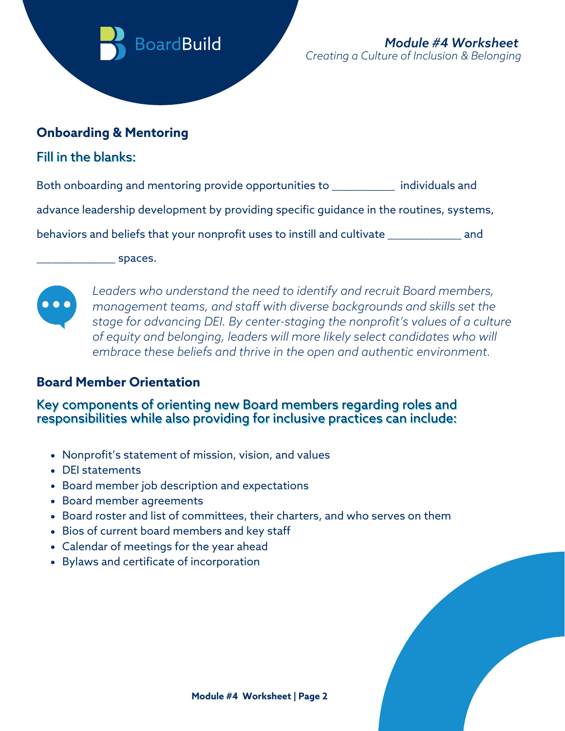

#### **Onboarding & Mentoring**

### Fill in the blanks:

Both onboarding and mentoring provide opportunities to \_\_\_\_\_\_\_\_\_\_\_\_ individuals and advance leadership development by providing specific guidance in the routines, systems,

behaviors and beliefs that your nonprofit uses to instill and cultivate \_\_\_\_\_\_\_\_\_\_\_\_\_\_ and

 $\equiv$  spaces.



*Leaders who understand the need to identify and recruit Board members, management teams, and staff with diverse backgrounds and skills set the stage for advancing DEI. By center-staging the nonprofit's values of a culture of equity and belonging, leaders will more likely select candidates who will embrace these beliefs and thrive in the open and authentic environment.*

### **Board Member Orientation**

#### Key components of orienting new Board members regarding roles and responsibilities while also providing for inclusive practices can include:

- Nonprofit's statement of mission, vision, and values
- DEI statements
- Board member job description and expectations
- Board member agreements
- Board roster and list of committees, their charters, and who serves on them
- Bios of current board members and key staff
- Calendar of meetings for the year ahead
- Bylaws and certificate of incorporation